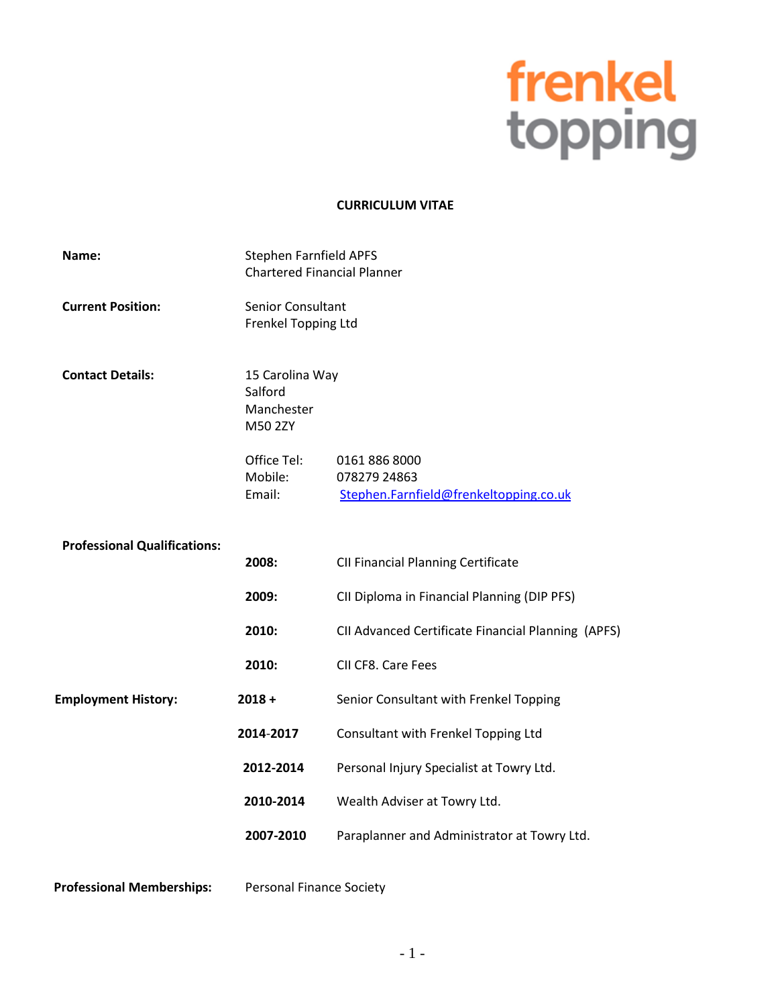# frenkel<br>topping

### **CURRICULUM VITAE**

| Name:                               | <b>Stephen Farnfield APFS</b><br><b>Chartered Financial Planner</b> |                                                                         |
|-------------------------------------|---------------------------------------------------------------------|-------------------------------------------------------------------------|
| <b>Current Position:</b>            | <b>Senior Consultant</b><br>Frenkel Topping Ltd                     |                                                                         |
| <b>Contact Details:</b>             | 15 Carolina Way<br>Salford<br>Manchester<br>M50 2ZY                 |                                                                         |
|                                     | Office Tel:<br>Mobile:<br>Email:                                    | 0161 886 8000<br>078279 24863<br>Stephen.Farnfield@frenkeltopping.co.uk |
| <b>Professional Qualifications:</b> | 2008:                                                               | <b>CII Financial Planning Certificate</b>                               |
|                                     | 2009:                                                               | CII Diploma in Financial Planning (DIP PFS)                             |
|                                     | 2010:                                                               | CII Advanced Certificate Financial Planning (APFS)                      |
|                                     | 2010:                                                               | CII CF8. Care Fees                                                      |
| <b>Employment History:</b>          | $2018 +$                                                            | Senior Consultant with Frenkel Topping                                  |
|                                     | 2014-2017                                                           | Consultant with Frenkel Topping Ltd                                     |
|                                     | 2012-2014                                                           | Personal Injury Specialist at Towry Ltd.                                |
|                                     | 2010-2014                                                           | Wealth Adviser at Towry Ltd.                                            |
|                                     | 2007-2010                                                           | Paraplanner and Administrator at Towry Ltd.                             |
|                                     |                                                                     |                                                                         |

Professional Memberships: Personal Finance Society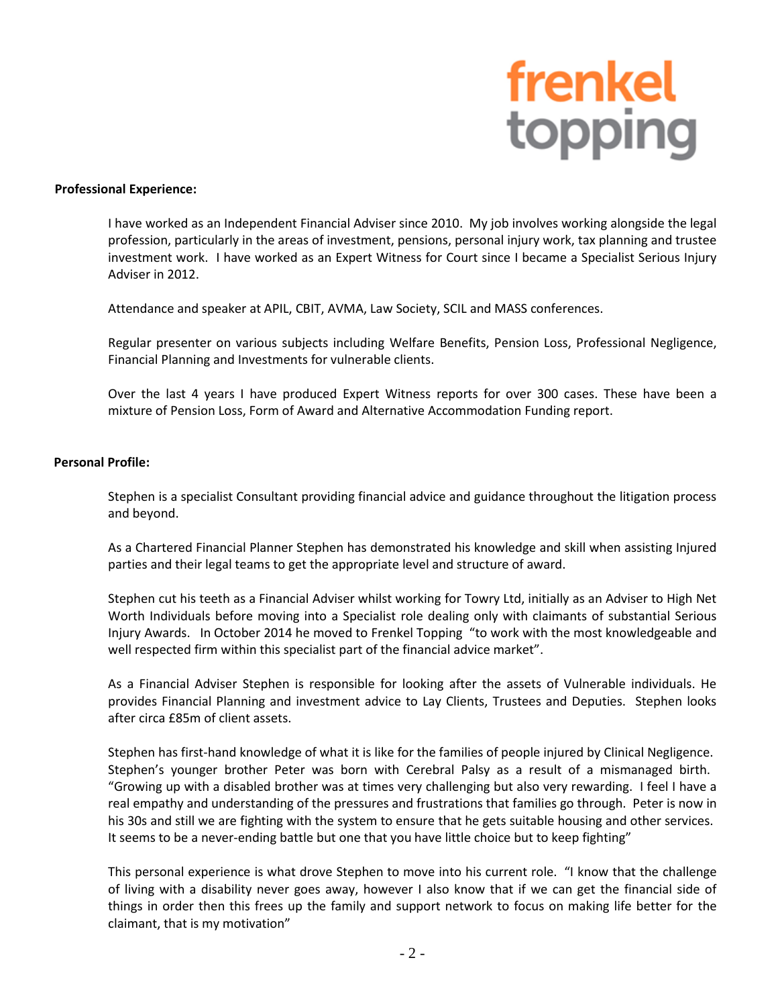## frenkel<br>topping

### **Professional Experience:**

I have worked as an Independent Financial Adviser since 2010. My job involves working alongside the legal profession, particularly in the areas of investment, pensions, personal injury work, tax planning and trustee investment work. I have worked as an Expert Witness for Court since I became a Specialist Serious Injury Adviser in 2012.

Attendance and speaker at APIL, CBIT, AVMA, Law Society, SCIL and MASS conferences.

Regular presenter on various subjects including Welfare Benefits, Pension Loss, Professional Negligence, Financial Planning and Investments for vulnerable clients.

Over the last 4 years I have produced Expert Witness reports for over 300 cases. These have been a mixture of Pension Loss, Form of Award and Alternative Accommodation Funding report.

### **Personal Profile:**

Stephen is a specialist Consultant providing financial advice and guidance throughout the litigation process and beyond.

As a Chartered Financial Planner Stephen has demonstrated his knowledge and skill when assisting Injured parties and their legal teams to get the appropriate level and structure of award.

Stephen cut his teeth as a Financial Adviser whilst working for Towry Ltd, initially as an Adviser to High Net Worth Individuals before moving into a Specialist role dealing only with claimants of substantial Serious Injury Awards. In October 2014 he moved to Frenkel Topping "to work with the most knowledgeable and well respected firm within this specialist part of the financial advice market".

As a Financial Adviser Stephen is responsible for looking after the assets of Vulnerable individuals. He provides Financial Planning and investment advice to Lay Clients, Trustees and Deputies. Stephen looks after circa £85m of client assets.

Stephen has first-hand knowledge of what it is like for the families of people injured by Clinical Negligence. Stephen's younger brother Peter was born with Cerebral Palsy as a result of a mismanaged birth. "Growing up with a disabled brother was at times very challenging but also very rewarding. I feel I have a real empathy and understanding of the pressures and frustrations that families go through. Peter is now in his 30s and still we are fighting with the system to ensure that he gets suitable housing and other services. It seems to be a never-ending battle but one that you have little choice but to keep fighting"

This personal experience is what drove Stephen to move into his current role. "I know that the challenge of living with a disability never goes away, however I also know that if we can get the financial side of things in order then this frees up the family and support network to focus on making life better for the claimant, that is my motivation"